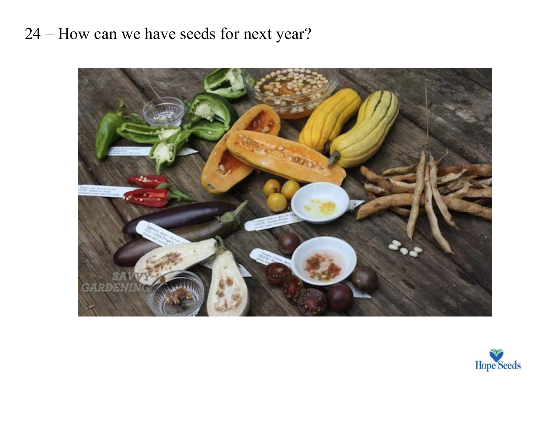## 24 – How can we have seeds for next year?



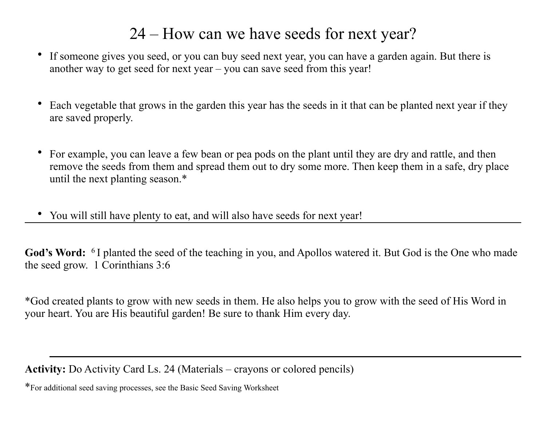## 24 – How can we have seeds for next year?

- If someone gives you seed, or you can buy seed next year, you can have a garden again. But there is another way to get seed for next year – you can save seed from this year!
- Each vegetable that grows in the garden this year has the seeds in it that can be planted next year if they are saved properly.
- For example, you can leave a few bean or pea pods on the plant until they are dry and rattle, and then remove the seeds from them and spread them out to dry some more. Then keep them in a safe, dry place until the next planting season.\*
- You will still have plenty to eat, and will also have seeds for next year!

**God's Word:** 6 I planted the seed of the teaching in you, and Apollos watered it. But God is the One who made the seed grow. 1 Corinthians 3:6

\*God created plants to grow with new seeds in them. He also helps you to grow with the seed of His Word in your heart. You are His beautiful garden! Be sure to thank Him every day.

**Activity:** Do Activity Card Ls. 24 (Materials – crayons or colored pencils)

\*For additional seed saving processes, see the Basic Seed Saving Worksheet